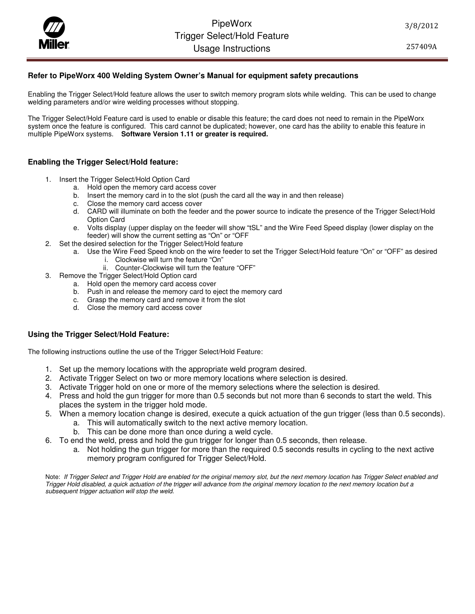PipeWorx<br>Trigger Select/Hold<br>Usaqe Instructi Trigger Select/Hold Feature Usage Instructions

257409A

## **Refer to PipeWorx 400 Welding System Owner's Manual for equipment safety precautions**

Enabling the Trigger Select/Hold feature allows the user to switch memory program slots while welding. This can be used to change welding parameters and/or wire welding processes without stopping.

The Trigger Select/Hold Feature card is used to enable or disable this feature; the card does not need to remain in the PipeWorx system once the feature is configured. This card cannot be duplicated; however, one card has the ability to enable this feature in multiple PipeWorx systems. **Software Version 1.11 or greater is required.**

### **Enabling the Trigger Select/Hold feature:**

- 1. Insert the Trigger Select/Hold Option Card
	- a. Hold open the memory card access cover
	- b. Insert the memory card in to the slot (push the card all the way in and then release)
	- c. Close the memory card access cover
	- d. CARD will illuminate on both the feeder and the power source to indicate the presence of the Trigger Select/Hold Option Card
	- e. Volts display (upper display on the feeder will show "tSL" and the Wire Feed Speed display (lower display on the feeder) will show the current setting as "On" or "OFF
- 2. Set the desired selection for the Trigger Select/Hold feature
	- a. Use the Wire Feed Speed knob on the wire feeder to set the Trigger Select/Hold feature "On" or "OFF" as desired
		- i. Clockwise will turn the feature "On"
		- ii. Counter-Clockwise will turn the feature "OFF"
- 3. Remove the Trigger Select/Hold Option card
	- a. Hold open the memory card access cover
	- b. Push in and release the memory card to eject the memory card
	- c. Grasp the memory card and remove it from the slot
	- d. Close the memory card access cover

### **Using the Trigger Select/Hold Feature:**

The following instructions outline the use of the Trigger Select/Hold Feature:

- 1. Set up the memory locations with the appropriate weld program desired.
- 2. Activate Trigger Select on two or more memory locations where selection is desired.
- 3. Activate Trigger hold on one or more of the memory selections where the selection is desired.
- 4. Press and hold the gun trigger for more than 0.5 seconds but not more than 6 seconds to start the weld. This places the system in the trigger hold mode.
- 5. When a memory location change is desired, execute a quick actuation of the gun trigger (less than 0.5 seconds).
	- a. This will automatically switch to the next active memory location.
	- b. This can be done more than once during a weld cycle.
- 6. To end the weld, press and hold the gun trigger for longer than 0.5 seconds, then release.
	- a. Not holding the gun trigger for more than the required 0.5 seconds results in cycling to the next active memory program configured for Trigger Select/Hold.

Note: If Trigger Select and Trigger Hold are enabled for the original memory slot, but the next memory location has Trigger Select enabled and Trigger Hold disabled, a quick actuation of the trigger will advance from the original memory location to the next memory location but a subsequent trigger actuation will stop the weld.

3/8/2012